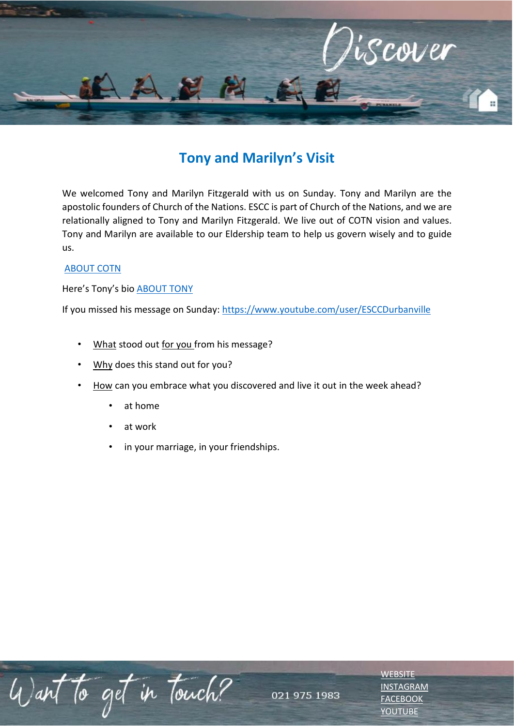

## **Tony and Marilyn's Visit**

We welcomed Tony and Marilyn Fitzgerald with us on Sunday. Tony and Marilyn are the apostolic founders of Church of the Nations. ESCC is part of Church of the Nations, and we are relationally aligned to Tony and Marilyn Fitzgerald. We live out of COTN vision and values. Tony and Marilyn are available to our Eldership team to help us govern wisely and to guide us.

## [ABOUT COTN](http://www.cotn.org/)

Here's Tony's bio [ABOUT TONY](https://www.cotn.org/apostolic-leadership/about-tony)

If you missed his message on Sunday:<https://www.youtube.com/user/ESCCDurbanville>

- What stood out for you from his message?
- Why does this stand out for you?
- How can you embrace what you discovered and live it out in the week ahead?
	- at home
	- at work
	- in your marriage, in your friendships.

Want to get in touch?

**[WEBSITE](http://www.escc.co.za/)** [INSTAGRAM](https://www.instagram.com/esccdurbanville/) **[FACEBOOK](https://www.facebook.com/escc.za)** [YOUTUBE](https://www.youtube.com/c/ESCCDurbanvilleV)